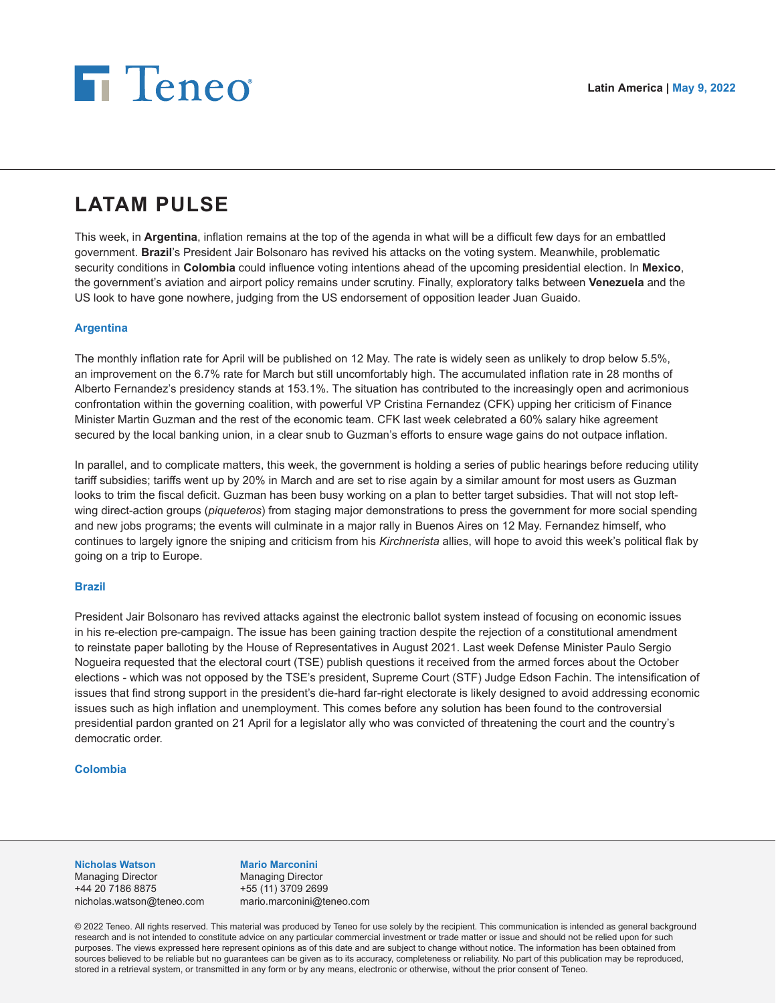# **Fi** Teneo

# **LATAM PULSE**

This week, in **Argentina**, inflation remains at the top of the agenda in what will be a difficult few days for an embattled government. **Brazil**'s President Jair Bolsonaro has revived his attacks on the voting system. Meanwhile, problematic security conditions in **Colombia** could influence voting intentions ahead of the upcoming presidential election. In **Mexico**, the government's aviation and airport policy remains under scrutiny. Finally, exploratory talks between **Venezuela** and the US look to have gone nowhere, judging from the US endorsement of opposition leader Juan Guaido.

# **Argentina**

The monthly inflation rate for April will be published on 12 May. The rate is widely seen as unlikely to drop below 5.5%, an improvement on the 6.7% rate for March but still uncomfortably high. The accumulated inflation rate in 28 months of Alberto Fernandez's presidency stands at 153.1%. The situation has contributed to the increasingly open and acrimonious confrontation within the governing coalition, with powerful VP Cristina Fernandez (CFK) upping her criticism of Finance Minister Martin Guzman and the rest of the economic team. CFK last week celebrated a 60% salary hike agreement secured by the local banking union, in a clear snub to Guzman's efforts to ensure wage gains do not outpace inflation.

In parallel, and to complicate matters, this week, the government is holding a series of public hearings before reducing utility tariff subsidies; tariffs went up by 20% in March and are set to rise again by a similar amount for most users as Guzman looks to trim the fiscal deficit. Guzman has been busy working on a plan to better target subsidies. That will not stop leftwing direct-action groups (*piqueteros*) from staging major demonstrations to press the government for more social spending and new jobs programs; the events will culminate in a major rally in Buenos Aires on 12 May. Fernandez himself, who continues to largely ignore the sniping and criticism from his *Kirchnerista* allies, will hope to avoid this week's political flak by going on a trip to Europe.

## **Brazil**

President Jair Bolsonaro has revived attacks against the electronic ballot system instead of focusing on economic issues in his re-election pre-campaign. The issue has been gaining traction despite the rejection of a constitutional amendment to reinstate paper balloting by the House of Representatives in August 2021. Last week Defense Minister Paulo Sergio Nogueira requested that the electoral court (TSE) publish questions it received from the armed forces about the October elections - which was not opposed by the TSE's president, Supreme Court (STF) Judge Edson Fachin. The intensification of issues that find strong support in the president's die-hard far-right electorate is likely designed to avoid addressing economic issues such as high inflation and unemployment. This comes before any solution has been found to the controversial presidential pardon granted on 21 April for a legislator ally who was convicted of threatening the court and the country's democratic order.

## **Colombia**

#### **Nicholas Watson**

Managing Director +44 20 7186 8875 nicholas.watson@teneo.com

## **Mario Marconini**

Managing Director +55 (11) 3709 2699 mario.marconini@teneo.com

© 2022 Teneo. All rights reserved. This material was produced by Teneo for use solely by the recipient. This communication is intended as general background research and is not intended to constitute advice on any particular commercial investment or trade matter or issue and should not be relied upon for such purposes. The views expressed here represent opinions as of this date and are subject to change without notice. The information has been obtained from sources believed to be reliable but no guarantees can be given as to its accuracy, completeness or reliability. No part of this publication may be reproduced, stored in a retrieval system, or transmitted in any form or by any means, electronic or otherwise, without the prior consent of Teneo.